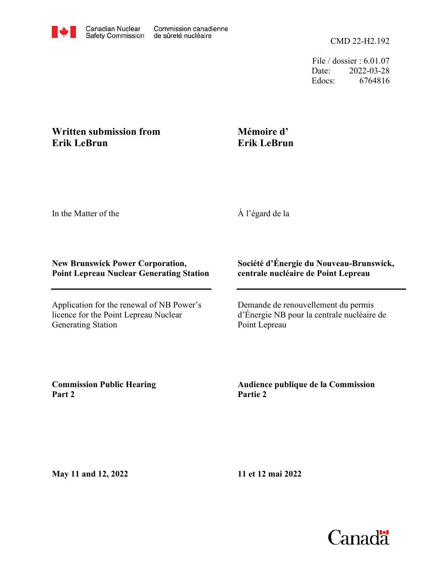

File / dossier : 6.01.07 Date: 2022-03-28 Edocs: 6764816

## **Written submission from Erik LeBrun**

## **Mémoire d' Erik LeBrun**

In the Matter of the

À l'égard de la

## **New Brunswick Power Corporation, Point Lepreau Nuclear Generating Station**

Application for the renewal of NB Power's licence for the Point Lepreau Nuclear Generating Station

## **Société d'Énergie du Nouveau-Brunswick, centrale nucléaire de Point Lepreau**

Demande de renouvellement du permis d'Énergie NB pour la centrale nucléaire de Point Lepreau

**Commission Public Hearing Part 2**

**Audience publique de la Commission Partie 2**

**May 11 and 12, 2022**

**11 et 12 mai 2022**